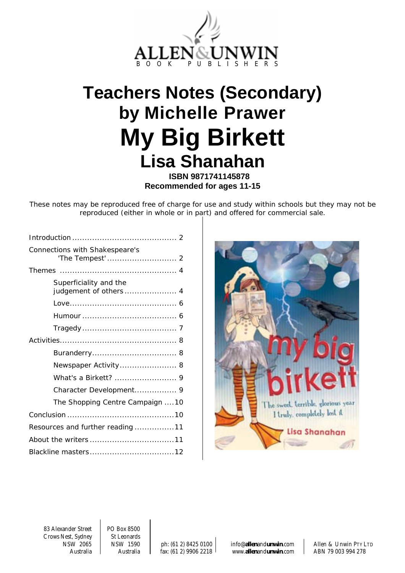

# <span id="page-0-0"></span>**Teachers Notes (Secondary) by Michelle Prawer My Big Birkett Lisa Shanahan**

**ISBN 9871741145878 Recommended for ages 11-15** 

These notes may be reproduced free of charge for use and study within schools but they may not be reproduced (either in whole or in part) and offered for commercial sale.

| Connections with Shakespeare's   |
|----------------------------------|
|                                  |
| Superficiality and the           |
|                                  |
|                                  |
|                                  |
|                                  |
|                                  |
| Newspaper Activity 8             |
|                                  |
| Character Development 9          |
| The Shopping Centre Campaign 10  |
|                                  |
| Resources and further reading 11 |
|                                  |
|                                  |



83 Alexander Street PO Box 8500 Crows Nest, Sydney | St Leonards

NSW 2065 NSW 1590 ph: (61 2) 8425 0100 info@**allen**and**unwin**.com Allen & Unwin PTY LTD Australia Australia fax: (61 2) 9906 2218 www.**allen**and**unwin**.com ABN 79 003 994 278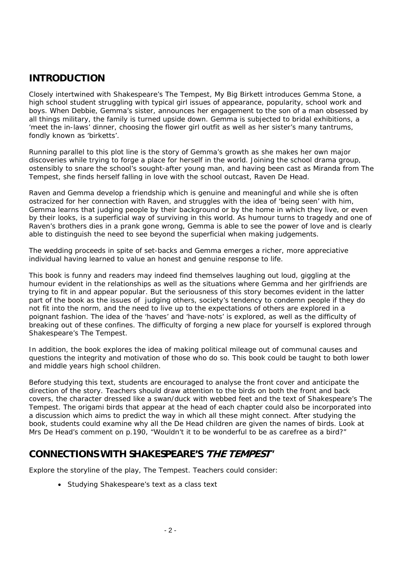### **INTRODUCTION**

Closely intertwined with Shakespeare's *The Tempest*, *My Big Birkett* introduces Gemma Stone, a high school student struggling with typical girl issues of appearance, popularity, school work and boys. When Debbie, Gemma's sister, announces her engagement to the son of a man obsessed by all things military, the family is turned upside down. Gemma is subjected to bridal exhibitions, a 'meet the in-laws' dinner, choosing the flower girl outfit as well as her sister's many tantrums, fondly known as 'birketts'.

Running parallel to this plot line is the story of Gemma's growth as she makes her own major discoveries while trying to forge a place for herself in the world. Joining the school drama group, ostensibly to snare the school's sought-after young man, and having been cast as Miranda from *The Tempest*, she finds herself falling in love with the school outcast, Raven De Head.

Raven and Gemma develop a friendship which is genuine and meaningful and while she is often ostracized for her connection with Raven, and struggles with the idea of 'being seen' with him, Gemma learns that judging people by their background or by the home in which they live, or even by their looks, is a superficial way of surviving in this world. As humour turns to tragedy and one of Raven's brothers dies in a prank gone wrong, Gemma is able to see the power of love and is clearly able to distinguish the need to see beyond the superficial when making judgements.

The wedding proceeds in spite of set-backs and Gemma emerges a richer, more appreciative individual having learned to value an honest and genuine response to life.

This book is funny and readers may indeed find themselves laughing out loud, giggling at the humour evident in the relationships as well as the situations where Gemma and her girlfriends are trying to fit in and appear popular. But the seriousness of this story becomes evident in the latter part of the book as the issues of judging others, society's tendency to condemn people if they do not fit into the norm, and the need to live up to the expectations of others are explored in a poignant fashion. The idea of the 'haves' and 'have-nots' is explored, as well as the difficulty of breaking out of these confines. The difficulty of forging a new place for yourself is explored through Shakespeare's *The Tempest*.

In addition, the book explores the idea of making political mileage out of communal causes and questions the integrity and motivation of those who do so. This book could be taught to both lower and middle years high school children.

Before studying this text, students are encouraged to analyse the front cover and anticipate the direction of the story. Teachers should draw attention to the birds on both the front and back covers, the character dressed like a swan/duck with webbed feet and the text of Shakespeare's *The Tempest*. The origami birds that appear at the head of each chapter could also be incorporated into a discussion which aims to predict the way in which all these might connect. After studying the book, students could examine why all the De Head children are given the names of birds. Look at Mrs De Head's comment on p.190, "Wouldn't it to be wonderful to be as carefree as a bird?"

### **CONNECTIONS WITH SHAKESPEARE'S 'THE TEMPEST'**

Explore the storyline of the play, *The Tempest*. Teachers could consider:

• Studying Shakespeare's text as a class text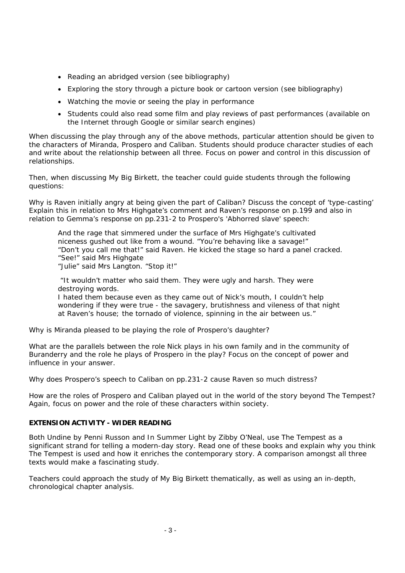- Reading an abridged version (see bibliography)
- Exploring the story through a picture book or cartoon version (see bibliography)
- Watching the movie or seeing the play in performance
- Students could also read some film and play reviews of past performances (available on the Internet through Google or similar search engines)

When discussing the play through any of the above methods, particular attention should be given to the characters of Miranda, Prospero and Caliban. Students should produce character studies of each and write about the relationship between all three. Focus on power and control in this discussion of relationships.

Then, when discussing *My Big Birkett*, the teacher could guide students through the following questions:

Why is Raven initially angry at being given the part of Caliban? Discuss the concept of 'type-casting' Explain this in relation to Mrs Highgate's comment and Raven's response on p.199 and also in relation to Gemma's response on pp.231-2 to Prospero's 'Abhorred slave' speech:

*And the rage that simmered under the surface of Mrs Highgate's cultivated niceness gushed out like from a wound. "You're behaving like a savage!" "Don't you call me that!" said Raven. He kicked the stage so hard a panel cracked. "See!" said Mrs Highgate "Julie" said Mrs Langton. "Stop it!"* 

 *"It wouldn't matter who said them. They were ugly and harsh. They were destroying words.* 

*I hated them because even as they came out of Nick's mouth, I couldn't help wondering if they were true - the savagery, brutishness and vileness of that night at Raven's house; the tornado of violence, spinning in the air between us."* 

Why is Miranda pleased to be playing the role of Prospero's daughter?

What are the parallels between the role Nick plays in his own family and in the community of Buranderry and the role he plays of Prospero in the play? Focus on the concept of power and influence in your answer.

Why does Prospero's speech to Caliban on pp.231-2 cause Raven so much distress?

How are the roles of Prospero and Caliban played out in the world of the story beyond *The Tempest*? Again, focus on power and the role of these characters within society.

#### **EXTENSION ACTIVITY - WIDER READING**

Both *Undine* by Penni Russon and *In Summer Light* by Zibby O'Neal, use *The Tempest* as a significant strand for telling a modern-day story. Read one of these books and explain why you think *The Tempest* is used and how it enriches the contemporary story. A comparison amongst all three texts would make a fascinating study.

Teachers could approach the study of *My Big Birkett* thematically, as well as using an in-depth, chronological chapter analysis.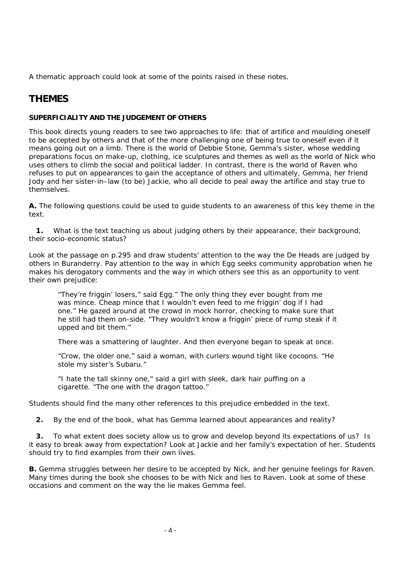A thematic approach could look at some of the points raised in these notes.

### **THEMES**

### **SUPERFICIALITY AND THE JUDGEMENT OF OTHERS**

This book directs young readers to see two approaches to life: that of artifice and moulding oneself to be accepted by others and that of the more challenging one of being true to oneself even if it means going out on a limb. There is the world of Debbie Stone, Gemma's sister, whose wedding preparations focus on make-up, clothing, ice sculptures and themes as well as the world of Nick who uses others to climb the social and political ladder. In contrast, there is the world of Raven who refuses to put on appearances to gain the acceptance of others and ultimately, Gemma, her friend Jody and her sister-in–law (to be) Jackie, who all decide to peal away the artifice and stay true to themselves.

**A.** The following questions could be used to guide students to an awareness of this key theme in the text.

 **1.** What is the text teaching us about judging others by their appearance, their background, their socio-economic status?

Look at the passage on p.295 and draw students' attention to the way the De Heads are judged by others in Buranderry. Pay attention to the way in which Egg seeks community approbation when he makes his derogatory comments and the way in which others see this as an opportunity to vent their own prejudice:

*"They're friggin' losers," said Egg." The only thing they ever bought from me was mince. Cheap mince that I wouldn't even feed to me friggin' dog if I had one." He gazed around at the crowd in mock horror, checking to make sure that he still had them on-side. "They wouldn't know a friggin' piece of rump steak if it upped and bit them."* 

*There was a smattering of laughter. And then everyone began to speak at once.* 

*"Crow, the older one," said a woman, with curlers wound tight like cocoons. "He stole my sister's Subaru."* 

*"I hate the tall skinny one," said a girl with sleek, dark hair puffing on a cigarette. "The one with the dragon tattoo."* 

Students should find the many other references to this prejudice embedded in the text.

 **2.** By the end of the book, what has Gemma learned about appearances and reality?

 **3.** To what extent does society allow us to grow and develop beyond its expectations of us? Is it easy to break away from expectation? Look at Jackie and her family's expectation of her. Students should try to find examples from their own lives.

**B.** Gemma struggles between her desire to be accepted by Nick, and her genuine feelings for Raven. Many times during the book she chooses to be with Nick and lies to Raven. Look at some of these occasions and comment on the way the lie makes Gemma feel.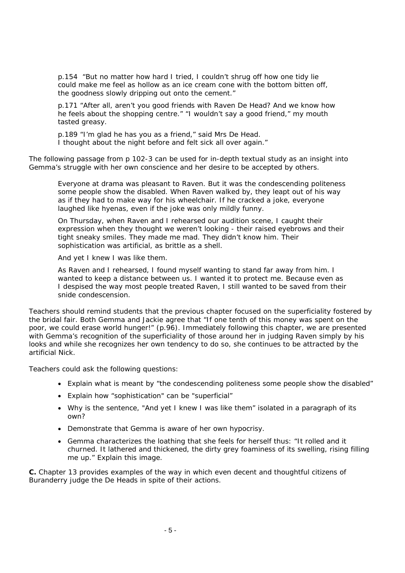p.154 *"But no matter how hard I tried, I couldn't shrug off how one tidy lie could make me feel as hollow as an ice cream cone with the bottom bitten off, the goodness slowly dripping out onto the cement."* 

*p.171 "After all, aren't you good friends with Raven De Head? And we know how he feels about the shopping centre." "I wouldn't say a good friend," my mouth tasted greasy.* 

*p.189 "I'm glad he has you as a friend," said Mrs De Head. I thought about the night before and felt sick all over again."* 

The following passage from p 102-3 can be used for in-depth textual study as an insight into Gemma's struggle with her own conscience and her desire to be accepted by others.

*Everyone at drama was pleasant to Raven. But it was the condescending politeness some people show the disabled. When Raven walked by, they leapt out of his way as if they had to make way for his wheelchair. If he cracked a joke, everyone laughed like hyenas, even if the joke was only mildly funny.* 

*On Thursday, when Raven and I rehearsed our audition scene, I caught their expression when they thought we weren't looking - their raised eyebrows and their tight sneaky smiles. They made me mad. They didn't know him. Their sophistication was artificial, as brittle as a shell.* 

*And yet I knew I was like them.* 

*As Raven and I rehearsed, I found myself wanting to stand far away from him. I wanted to keep a distance between us. I wanted it to protect me. Because even as I despised the way most people treated Raven, I still wanted to be saved from their snide condescension.* 

Teachers should remind students that the previous chapter focused on the superficiality fostered by the bridal fair. Both Gemma and Jackie agree that "If one tenth of this money was spent on the poor, we could erase world hunger!" (p.96). Immediately following this chapter, we are presented with Gemma's recognition of the superficiality of those around her in judging Raven simply by his looks and while she recognizes her own tendency to do so, she continues to be attracted by the artificial Nick.

Teachers could ask the following questions:

- Explain what is meant by "the condescending politeness some people show the disabled"
- Explain how "sophistication" can be "superficial"
- Why is the sentence, "And yet I knew I was like them" isolated in a paragraph of its own?
- Demonstrate that Gemma is aware of her own hypocrisy.
- Gemma characterizes the loathing that she feels for herself thus: "It rolled and it churned. It lathered and thickened, the dirty grey foaminess of its swelling, rising filling me up." Explain this image.

**C.** Chapter 13 provides examples of the way in which even decent and thoughtful citizens of Buranderry judge the De Heads in spite of their actions.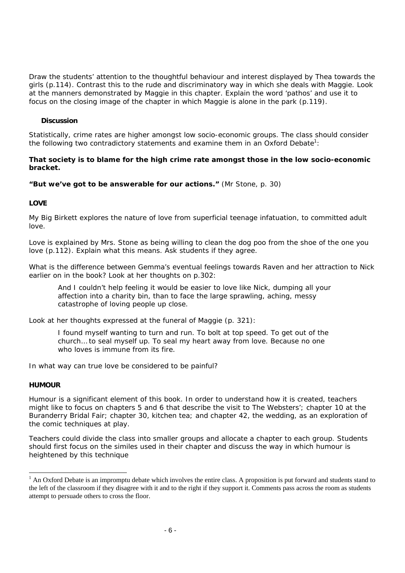Draw the students' attention to the thoughtful behaviour and interest displayed by Thea towards the girls (p.114). Contrast this to the rude and discriminatory way in which she deals with Maggie. Look at the manners demonstrated by Maggie in this chapter. Explain the word 'pathos' and use it to focus on the closing image of the chapter in which Maggie is alone in the park (p.119).

### **Discussion**

Statistically, crime rates are higher amongst low socio-economic groups. The class should consider the following two contradictory statements and examine them in an Oxford Debate<sup>1</sup>:

#### **That society is to blame for the high crime rate amongst those in the low socio-economic bracket.**

**"But we've got to be answerable for our actions."** (Mr Stone, p. 30)

### **LOVE**

*My Big Birkett* explores the nature of love from superficial teenage infatuation, to committed adult love.

Love is explained by Mrs. Stone as being willing to clean the dog poo from the shoe of the one you love (p.112). Explain what this means. Ask students if they agree.

What is the difference between Gemma's eventual feelings towards Raven and her attraction to Nick earlier on in the book? Look at her thoughts on p.302:

*And I couldn't help feeling it would be easier to love like Nick, dumping all your affection into a charity bin, than to face the large sprawling, aching, messy catastrophe of loving people up close.* 

Look at her thoughts expressed at the funeral of Maggie (p. 321):

*I found myself wanting to turn and run. To bolt at top speed. To get out of the church… to seal myself up. To seal my heart away from love. Because no one who loves is immune from its fire.* 

In what way can true love be considered to be painful?

#### **HUMOUR**

l

Humour is a significant element of this book. In order to understand how it is created, teachers might like to focus on chapters 5 and 6 that describe the visit to The Websters'; chapter 10 at the Buranderry Bridal Fair; chapter 30, kitchen tea; and chapter 42, the wedding, as an exploration of the comic techniques at play.

Teachers could divide the class into smaller groups and allocate a chapter to each group. Students should first focus on the similes used in their chapter and discuss the way in which humour is heightened by this technique

<span id="page-5-0"></span> $<sup>1</sup>$  An Oxford Debate is an impromptu debate which involves the entire class. A proposition is put forward and students stand to</sup> the left of the classroom if they disagree with it and to the right if they support it. Comments pass across the room as students attempt to persuade others to cross the floor.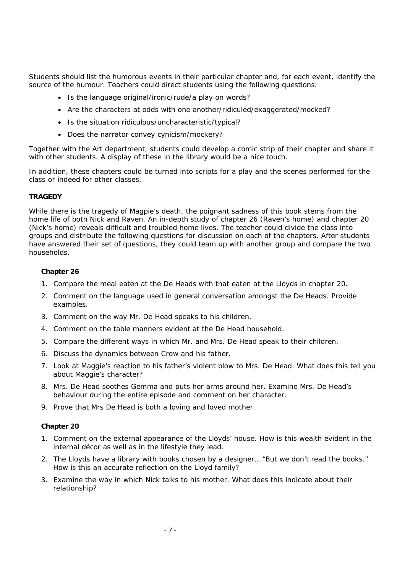Students should list the humorous events in their particular chapter and, for each event, identify the source of the humour. Teachers could direct students using the following questions:

- Is the language original/ironic/rude/a play on words?
- Are the characters at odds with one another/ridiculed/exaggerated/mocked?
- Is the situation ridiculous/uncharacteristic/typical?
- Does the narrator convey cynicism/mockery?

Together with the Art department, students could develop a comic strip of their chapter and share it with other students. A display of these in the library would be a nice touch.

In addition, these chapters could be turned into scripts for a play and the scenes performed for the class or indeed for other classes.

#### **TRAGEDY**

While there is the tragedy of Magpie's death, the poignant sadness of this book stems from the home life of both Nick and Raven. An in-depth study of chapter 26 (Raven's home) and chapter 20 (Nick's home) reveals difficult and troubled home lives. The teacher could divide the class into groups and distribute the following questions for discussion on each of the chapters. After students have answered their set of questions, they could team up with another group and compare the two households.

### **Chapter 26**

- 1. Compare the meal eaten at the De Heads with that eaten at the Lloyds in chapter 20.
- 2. Comment on the language used in general conversation amongst the De Heads. Provide examples.
- 3. Comment on the way Mr. De Head speaks to his children.
- 4. Comment on the table manners evident at the De Head household.
- 5. Compare the different ways in which Mr. and Mrs. De Head speak to their children.
- 6. Discuss the dynamics between Crow and his father.
- 7. Look at Maggie's reaction to his father's violent blow to Mrs. De Head. What does this tell you about Maggie's character?
- 8. Mrs. De Head soothes Gemma and puts her arms around her. Examine Mrs. De Head's behaviour during the entire episode and comment on her character.
- 9. Prove that Mrs De Head is both a loving and loved mother.

### **Chapter 20**

- 1. Comment on the external appearance of the Lloyds' house. How is this wealth evident in the internal décor as well as in the lifestyle they lead.
- 2. The Lloyds have a library with books chosen by a designer… "But we don't read the books." How is this an accurate reflection on the Lloyd family?
- 3. Examine the way in which Nick talks to his mother. What does this indicate about their relationship?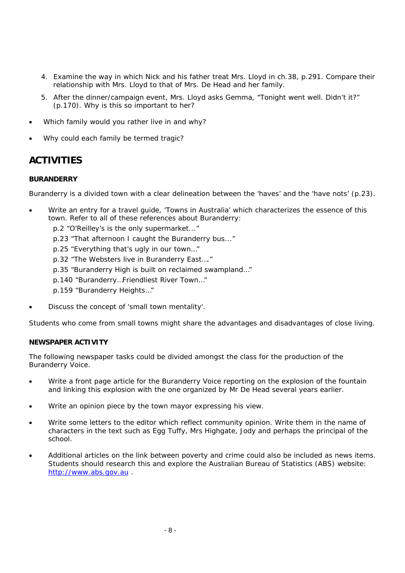- 4. Examine the way in which Nick and his father treat Mrs. Lloyd in ch.38, p.291. Compare their relationship with Mrs. Lloyd to that of Mrs. De Head and her family.
- 5. After the dinner/campaign event, Mrs. Lloyd asks Gemma, "Tonight went well. Didn't it?" (p.170). Why is this so important to her?
- Which family would you rather live in and why?
- Why could each family be termed tragic?

### **ACTIVITIES**

### **BURANDERRY**

Buranderry is a divided town with a clear delineation between the 'haves' and the 'have nots' (p.23).

- Write an entry for a travel guide, 'Towns in Australia' which characterizes the essence of this town. Refer to all of these references about Buranderry:
	- p.2 "O'Reilley's is the only supermarket..."
	- p.23 "That afternoon I caught the Buranderry bus..."
	- p.25 "Everything that's ugly in our town…"
	- p.32 "The Websters live in Buranderry East…."
	- p.35 "Buranderry High is built on reclaimed swampland…"
	- p.140 "Buranderry…Friendliest River Town…"
	- p.159 "Buranderry Heights…"
- Discuss the concept of 'small town mentality'.

Students who come from small towns might share the advantages and disadvantages of close living.

#### **NEWSPAPER ACTIVITY**

The following newspaper tasks could be divided amongst the class for the production of the *Buranderry Voice.*

- Write a front page article for the *Buranderry Voice* reporting on the explosion of the fountain and linking this explosion with the one organized by Mr De Head several years earlier.
- Write an opinion piece by the town mayor expressing his view.
- Write some letters to the editor which reflect community opinion. Write them in the name of characters in the text such as Egg Tuffy, Mrs Highgate, Jody and perhaps the principal of the school.
- Additional articles on the link between poverty and crime could also be included as news items. Students should research this and explore the Australian Bureau of Statistics (ABS) website: [http://www.abs.gov.au](http://www.abs.gov.au/) .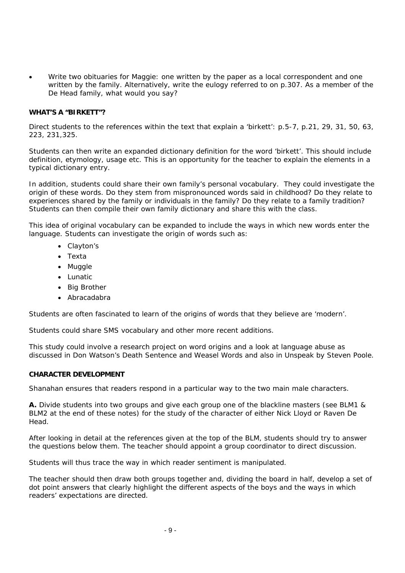• Write two obituaries for Maggie: one written by the paper as a local correspondent and one written by the family. Alternatively, write the eulogy referred to on p.307. As a member of the De Head family, what would you say?

#### **WHAT'S A "BIRKETT"?**

Direct students to the references within the text that explain a 'birkett': p.5-7, p.21, 29, 31, 50, 63, 223, 231,325.

Students can then write an expanded dictionary definition for the word 'birkett'. This should include definition, etymology, usage etc. This is an opportunity for the teacher to explain the elements in a typical dictionary entry.

In addition, students could share their own family's personal vocabulary. They could investigate the origin of these words. Do they stem from mispronounced words said in childhood? Do they relate to experiences shared by the family or individuals in the family? Do they relate to a family tradition? Students can then compile their own family dictionary and share this with the class.

This idea of original vocabulary can be expanded to include the ways in which new words enter the language. Students can investigate the origin of words such as:

- Clayton's
- Texta
- Muggle
- Lunatic
- Big Brother
- Abracadabra

Students are often fascinated to learn of the origins of words that they believe are 'modern'.

Students could share SMS vocabulary and other more recent additions.

This study could involve a research project on word origins and a look at language abuse as discussed in Don Watson's *Death Sentence* and *Weasel Words* and also in *Unspeak* by Steven Poole.

#### **CHARACTER DEVELOPMENT**

Shanahan ensures that readers respond in a particular way to the two main male characters.

**A.** Divide students into two groups and give each group one of the blackline masters (see BLM1 & BLM2 at the end of these notes) for the study of the character of either Nick Lloyd or Raven De Head.

After looking in detail at the references given at the top of the BLM, students should try to answer the questions below them. The teacher should appoint a group coordinator to direct discussion.

Students will thus trace the way in which reader sentiment is manipulated.

The teacher should then draw both groups together and, dividing the board in half, develop a set of dot point answers that clearly highlight the different aspects of the boys and the ways in which readers' expectations are directed.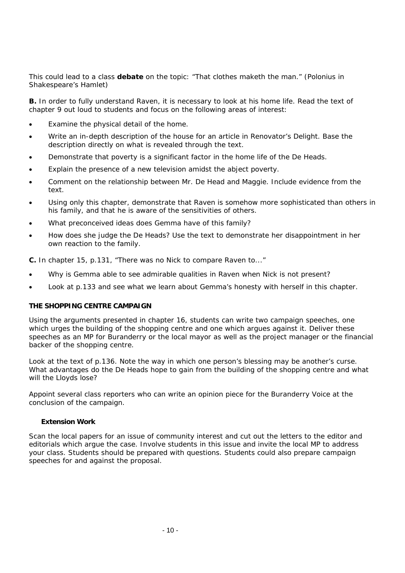This could lead to a class **debate** on the topic: "That clothes maketh the man." (Polonius in Shakespeare's *Hamlet*)

**B.** In order to fully understand Raven, it is necessary to look at his home life. Read the text of chapter 9 out loud to students and focus on the following areas of interest:

- Examine the physical detail of the home.
- Write an in-depth description of the house for an article in *Renovator's Delight*. Base the description directly on what is revealed through the text.
- Demonstrate that poverty is a significant factor in the home life of the De Heads.
- Explain the presence of a new television amidst the abject poverty.
- Comment on the relationship between Mr. De Head and Maggie. Include evidence from the text.
- Using only this chapter, demonstrate that Raven is somehow more sophisticated than others in his family, and that he is aware of the sensitivities of others.
- What preconceived ideas does Gemma have of this family?
- How does she judge the De Heads? Use the text to demonstrate her disappointment in her own reaction to the family.

**C.** In chapter 15, p.131, "There was no Nick to compare Raven to..."

- Why is Gemma able to see admirable qualities in Raven when Nick is not present?
- Look at p.133 and see what we learn about Gemma's honesty with herself in this chapter.

### **THE SHOPPING CENTRE CAMPAIGN**

Using the arguments presented in chapter 16, students can write two campaign speeches, one which urges the building of the shopping centre and one which argues against it. Deliver these speeches as an MP for Buranderry or the local mayor as well as the project manager or the financial backer of the shopping centre.

Look at the text of p.136. Note the way in which one person's blessing may be another's curse. What advantages do the De Heads hope to gain from the building of the shopping centre and what will the Lloyds lose?

Appoint several class reporters who can write an opinion piece for the *Buranderry Voice* at the conclusion of the campaign.

#### **Extension Work**

Scan the local papers for an issue of community interest and cut out the letters to the editor and editorials which argue the case. Involve students in this issue and invite the local MP to address your class. Students should be prepared with questions. Students could also prepare campaign speeches for and against the proposal.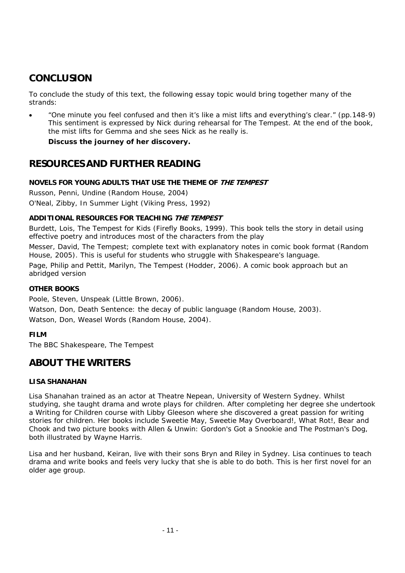### **CONCLUSION**

To conclude the study of this text, the following essay topic would bring together many of the strands:

• "One minute you feel confused and then it's like a mist lifts and everything's clear." (pp.148-9) This sentiment is expressed by Nick during rehearsal for *The Tempest*. At the end of the book, the mist lifts for Gemma and she sees Nick as he really is.

**Discuss the journey of her discovery.**

### **RESOURCES AND FURTHER READING**

### **NOVELS FOR YOUNG ADULTS THAT USE THE THEME OF THE TEMPEST**

Russon, Penni, *Undine* (Random House, 2004) O'Neal, Zibby, *In Summer Light* (Viking Press, 1992)

### **ADDITIONAL RESOURCES FOR TEACHING THE TEMPEST**

Burdett, Lois, *The Tempest for Kids* (Firefly Books, 1999). This book tells the story in detail using effective poetry and introduces most of the characters from the play

Messer, David, *The Tempest*; complete text with explanatory notes in comic book format (Random House, 2005). This is useful for students who struggle with Shakespeare's language. Page, Philip and Pettit, Marilyn, *The Tempest* (Hodder, 2006). A comic book approach but an abridged version

### **OTHER BOOKS**

Poole, Steven, *Unspeak* (Little Brown, 2006).

Watson, Don, *Death Sentence*: the decay of public language (Random House, 2003). Watson, Don, *Weasel Words* (Random House, 2004).

### **FILM**

The BBC Shakespeare, *The Tempest*

### **ABOUT THE WRITERS**

### **LISA SHANAHAN**

Lisa Shanahan trained as an actor at Theatre Nepean, University of Western Sydney. Whilst studying, she taught drama and wrote plays for children. After completing her degree she undertook a Writing for Children course with Libby Gleeson where she discovered a great passion for writing stories for children. Her books include Sweetie *May, Sweetie May Overboard!, What Rot!, Bear and Chook* and two picture books with Allen & Unwin: *Gordon's Got a Snookie* and *The Postman's Dog*, both illustrated by Wayne Harris.

Lisa and her husband, Keiran, live with their sons Bryn and Riley in Sydney. Lisa continues to teach drama and write books and feels very lucky that she is able to do both. This is her first novel for an older age group.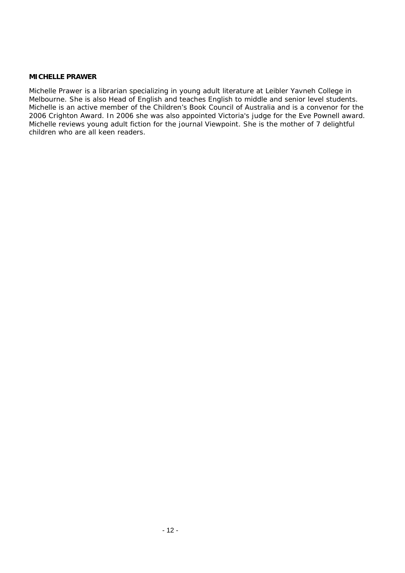#### **MICHELLE PRAWER**

Michelle Prawer is a librarian specializing in young adult literature at Leibler Yavneh College in Melbourne. She is also Head of English and teaches English to middle and senior level students. Michelle is an active member of the Children's Book Council of Australia and is a convenor for the 2006 Crighton Award. In 2006 she was also appointed Victoria's judge for the Eve Pownell award. Michelle reviews young adult fiction for the journal *Viewpoint*. She is the mother of 7 delightful children who are all keen readers.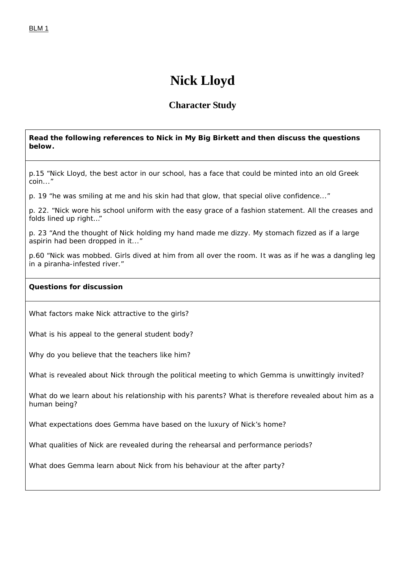## **Nick Lloyd**

### **Character Study**

### **Read the following references to Nick in** *My Big Birkett* **and then discuss the questions below.**

p.15 "Nick Lloyd, the best actor in our school, has a face that could be minted into an old Greek coin..."

p. 19 "he was smiling at me and his skin had that glow, that special olive confidence..."

p. 22. "Nick wore his school uniform with the easy grace of a fashion statement. All the creases and folds lined up right…"

p. 23 "And the thought of Nick holding my hand made me dizzy. My stomach fizzed as if a large aspirin had been dropped in it..."

p.60 "Nick was mobbed. Girls dived at him from all over the room. It was as if he was a dangling leg in a piranha-infested river."

### **Questions for discussion**

What factors make Nick attractive to the girls?

What is his appeal to the general student body?

Why do you believe that the teachers like him?

What is revealed about Nick through the political meeting to which Gemma is unwittingly invited?

What do we learn about his relationship with his parents? What is therefore revealed about him as a human being?

What expectations does Gemma have based on the luxury of Nick's home?

What qualities of Nick are revealed during the rehearsal and performance periods?

What does Gemma learn about Nick from his behaviour at the after party?